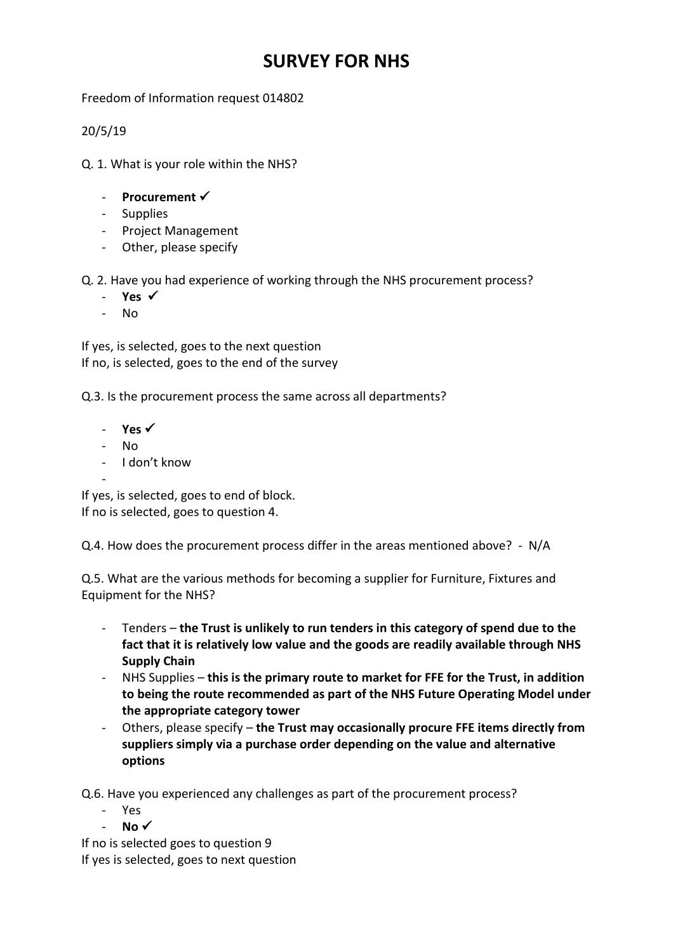## **SURVEY FOR NHS**

Freedom of Information request 014802

20/5/19

Q. 1. What is your role within the NHS?

- **Procurement**
- Supplies
- Project Management
- Other, please specify

Q. 2. Have you had experience of working through the NHS procurement process?

- **Yes**
- No

If yes, is selected, goes to the next question If no, is selected, goes to the end of the survey

Q.3. Is the procurement process the same across all departments?

- **Yes**
- No
- I don't know

- If yes, is selected, goes to end of block. If no is selected, goes to question 4.

Q.4. How does the procurement process differ in the areas mentioned above? - N/A

Q.5. What are the various methods for becoming a supplier for Furniture, Fixtures and Equipment for the NHS?

- Tenders **the Trust is unlikely to run tenders in this category of spend due to the fact that it is relatively low value and the goods are readily available through NHS Supply Chain**
- NHS Supplies **this is the primary route to market for FFE for the Trust, in addition to being the route recommended as part of the NHS Future Operating Model under the appropriate category tower**
- Others, please specify **the Trust may occasionally procure FFE items directly from suppliers simply via a purchase order depending on the value and alternative options**

Q.6. Have you experienced any challenges as part of the procurement process?

- Yes
- No <del>✓</del>

If no is selected goes to question 9 If yes is selected, goes to next question